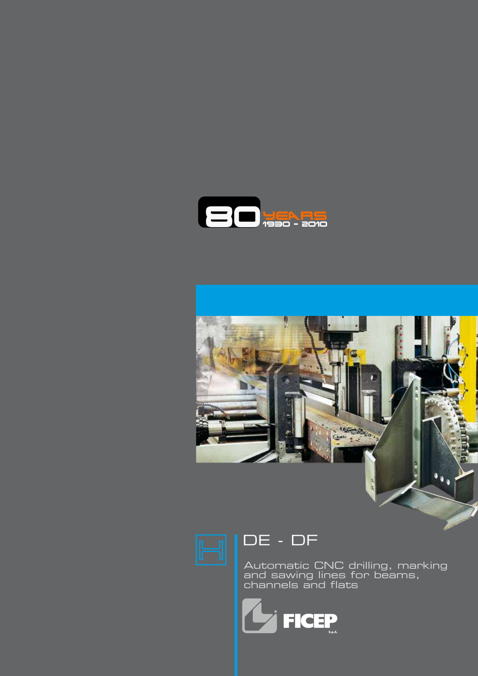





Automatic CNC drilling, marking and sawing lines for beams, channels and flats

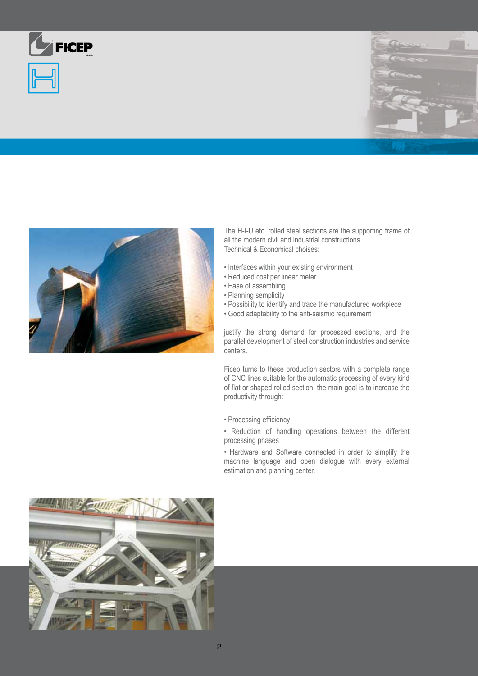







The H-I-U etc. rolled steel sections are the supporting frame of all the modern civil and industrial constructions. Technical & Economical choises:

- Interfaces within your existing environment
- Reduced cost per linear meter
- Ease of assembling
- Planning semplicity
- Possibility to identify and trace the manufactured workpiece
- Good adaptability to the anti-seismic requirement

justify the strong demand for processed sections, and the parallel development of steel construction industries and service centers.

Ficep turns to these production sectors with a complete range of CNC lines suitable for the automatic processing of every kind of flat or shaped rolled section; the main goal is to increase the productivity through:

• Processing efficiency

• Reduction of handling operations between the different processing phases

• Hardware and Software connected in order to simplify the machine language and open dialogue with every external estimation and planning center.

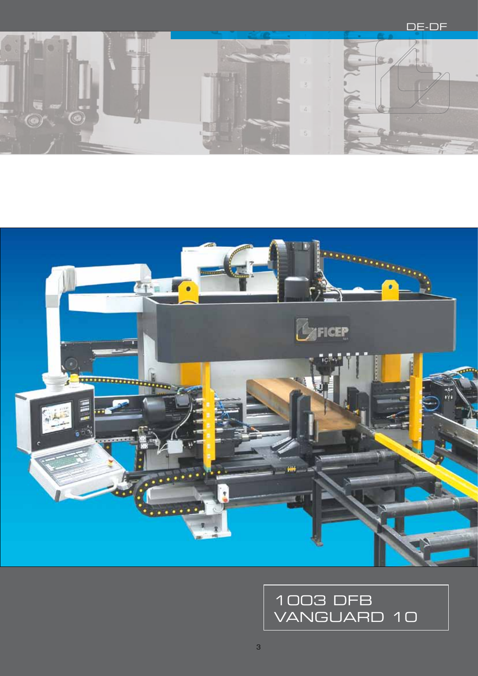



# 1003 DFB VANGUARD 10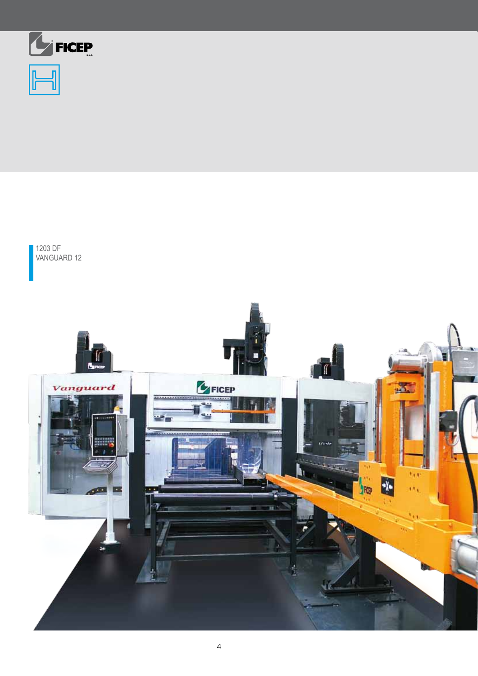



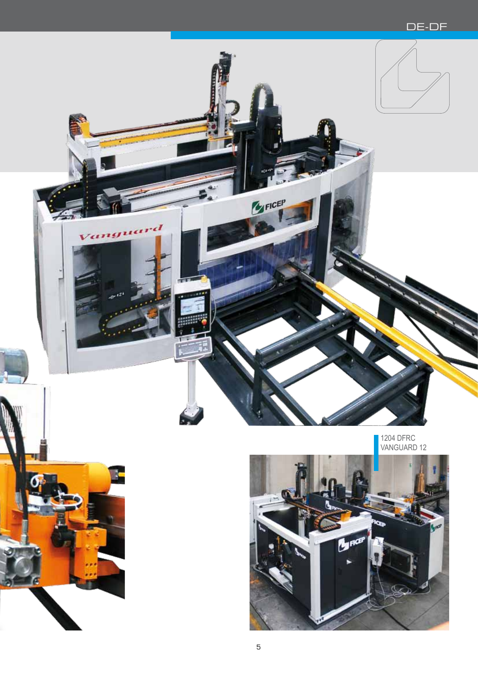



1204 DFRC<br>VANGUARD 12

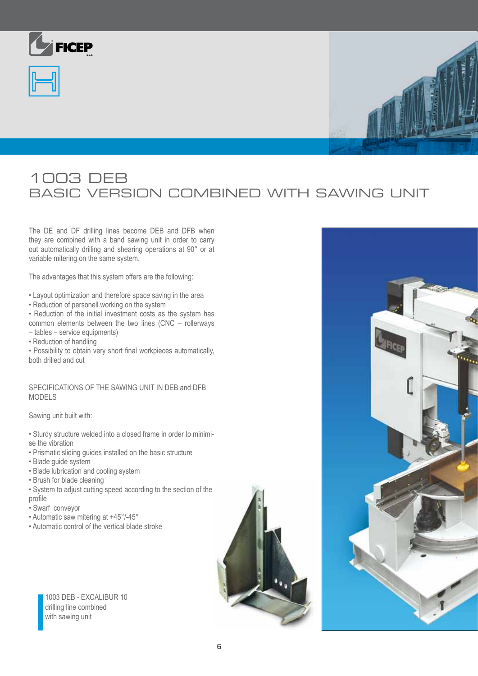





# 1003 DEB BASIC VERSION COMBINED WITH SAWING UNIT

The DE and DF drilling lines become DEB and DFB when they are combined with a band sawing unit in order to carry out automatically drilling and shearing operations at 90° or at variable mitering on the same system.

The advantages that this system offers are the following:

- Layout optimization and therefore space saving in the area
- Reduction of personell working on the system

• Reduction of the initial investment costs as the system has common elements between the two lines (CNC – rollerways – tables – service equipments)

- Reduction of handling
- Possibility to obtain very short final workpieces automatically, both drilled and cut

### SPECIFICATIONS OF THE SAWING UNIT IN DEB and DFB MODELS

Sawing unit built with:

- Sturdy structure welded into a closed frame in order to minimise the vibration
- Prismatic sliding guides installed on the basic structure
- Blade guide system
- Blade lubrication and cooling system
- Brush for blade cleaning
- System to adjust cutting speed according to the section of the profile
- Swarf conveyor
- Automatic saw mitering at +45°/-45°
- Automatic control of the vertical blade stroke





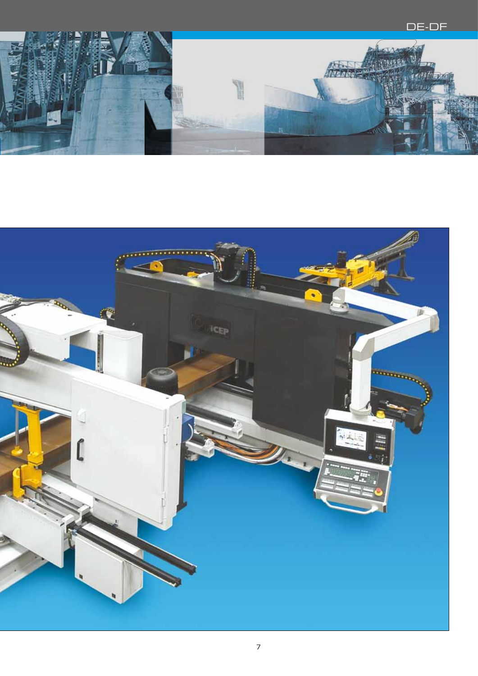

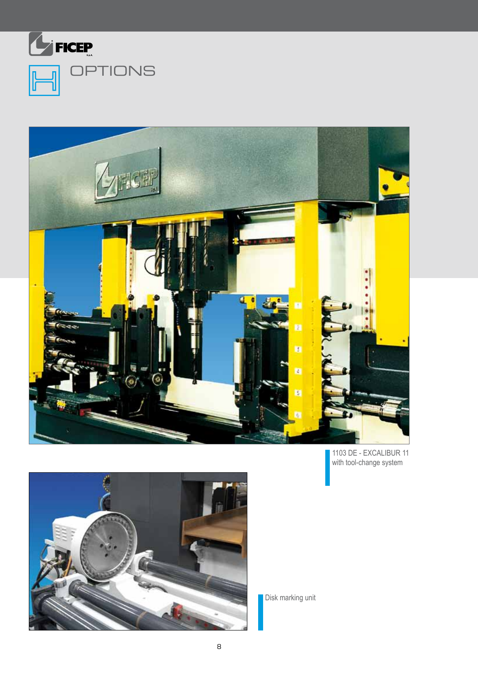



1103 DE - EXCALIBUR 11 with tool-change system



Disk marking unit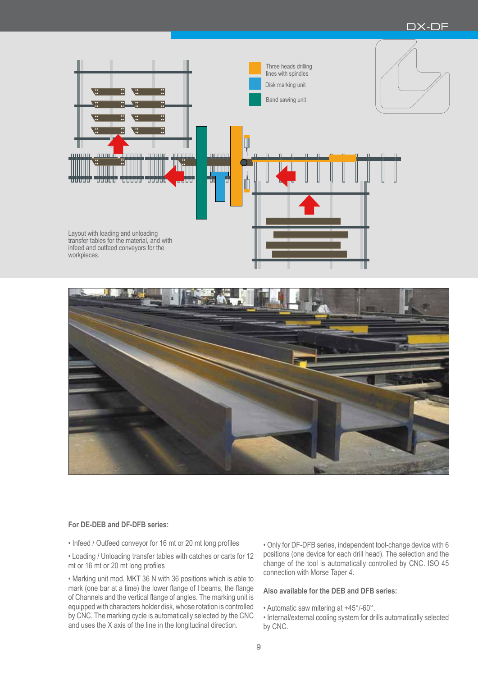### DX-DF





#### **For DE-DEB and DF-DFB series:**

• Infeed / Outfeed conveyor for 16 mt or 20 mt long profiles

• Loading / Unloading transfer tables with catches or carts for 12 mt or 16 mt or 20 mt long profiles

• Marking unit mod. MKT 36 N with 36 positions which is able to mark (one bar at a time) the lower flange of I beams, the flange of Channels and the vertical flange of angles. The marking unit is equipped with characters holder disk, whose rotation is controlled by CNC. The marking cycle is automatically selected by the CNC and uses the X axis of the line in the longitudinal direction.

• Only for DF-DFB series, independent tool-change device with 6 positions (one device for each drill head). The selection and the change of the tool is automatically controlled by CNC. ISO 45 connection with Morse Taper 4.

#### **Also available for the DEB and DFB series:**

- Automatic saw mitering at +45°/-60°.
- Internal/external cooling system for drills automatically selected by CNC.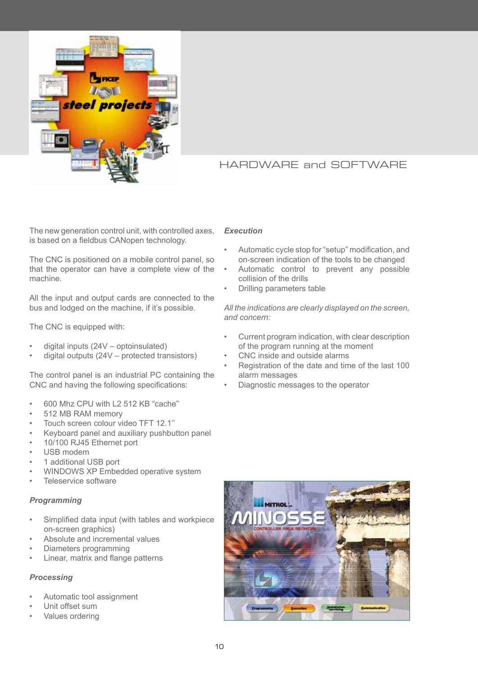

# HARDWARE and SOFTWARE

The new generation control unit, with controlled axes, is based on a fieldbus CANopen technology.

The CNC is positioned on a mobile control panel, so that the operator can have a complete view of the machine.

All the input and output cards are connected to the bus and lodged on the machine, if it's possible.

The CNC is equipped with:

- digital inputs (24V optoinsulated)
- digital outputs  $(24V -$  protected transistors)

The control panel is an industrial PC containing the CNC and having the following specifications:

- 600 Mhz CPU with L2 512 KB "cache"
- 512 MB RAM memory
- Touch screen colour video TFT 12.1''
- Keyboard panel and auxiliary pushbutton panel
- 10/100 RJ45 Ethernet port
- USB modem
- 1 additional USB port
- WINDOWS XP Embedded operative system
- Teleservice software

# *Programming*

- Simplified data input (with tables and workpiece on-screen graphics)
- Absolute and incremental values
- Diameters programming
- Linear, matrix and flange patterns

# *Processing*

- Automatic tool assignment
- Unit offset sum
- Values ordering

# *Execution*

- Automatic cycle stop for "setup" modification, and on-screen indication of the tools to be changed
- Automatic control to prevent any possible collision of the drills
- Drilling parameters table

*All the indications are clearly displayed on the screen, and concern:*

- Current program indication, with clear description of the program running at the moment
- CNC inside and outside alarms
- Registration of the date and time of the last 100 alarm messages
- Diagnostic messages to the operator

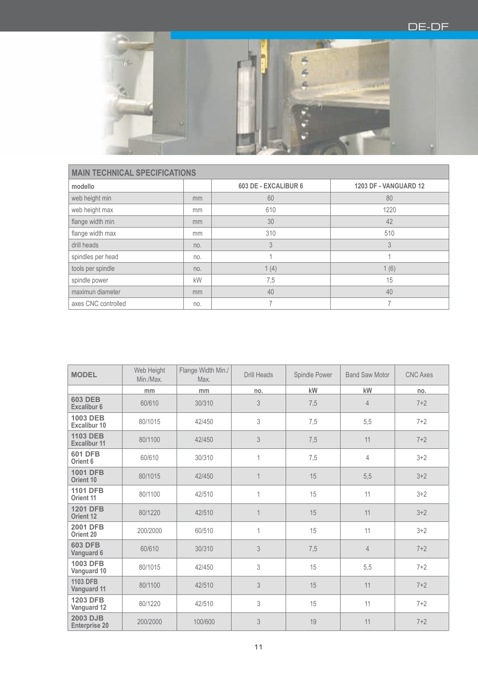DE-DF



| <b>MAIN TECHNICAL SPECIFICATIONS</b> |     |                      |                              |  |  |  |  |  |
|--------------------------------------|-----|----------------------|------------------------------|--|--|--|--|--|
| modello                              |     | 603 DE - EXCALIBUR 6 | <b>1203 DF - VANGUARD 12</b> |  |  |  |  |  |
| web height min                       | mm  | 60                   | 80                           |  |  |  |  |  |
| web height max                       | mm  | 610                  | 1220                         |  |  |  |  |  |
| flange width min                     | mm  | 30                   | 42                           |  |  |  |  |  |
| flange width max                     | mm  | 310                  | 510                          |  |  |  |  |  |
| drill heads                          | no. | 3                    | 3                            |  |  |  |  |  |
| spindles per head                    | no. |                      |                              |  |  |  |  |  |
| tools per spindle                    | no. | 1(4)                 | 1(6)                         |  |  |  |  |  |
| spindle power                        | kW  | 7,5                  | 15                           |  |  |  |  |  |
| maximun diameter                     | mm  | 40                   | 40                           |  |  |  |  |  |
| axes CNC controlled                  | no. | 7                    | ⇁                            |  |  |  |  |  |

| <b>MODEL</b>                           | Web Height<br>Min./Max. | Flange Width Min./<br>Max. | Drill Heads | Spindle Power | <b>Band Saw Motor</b> | <b>CNC Axes</b> |
|----------------------------------------|-------------------------|----------------------------|-------------|---------------|-----------------------|-----------------|
|                                        | mm                      | mm                         | no.         | kW            | kW                    | no.             |
| <b>603 DEB</b><br>Excalibur 6          | 60/610                  | 30/310                     | 3           | 7,5           | $\overline{4}$        | $7 + 2$         |
| <b>1003 DEB</b><br>Excalibur 10        | 80/1015                 | 42/450                     | 3           | 7,5           | 5,5                   | $7 + 2$         |
| <b>1103 DEB</b><br><b>Excalibur 11</b> | 80/1100                 | 42/450                     | 3           | 7,5           | 11                    | $7 + 2$         |
| <b>601 DFB</b><br>Orient <sub>6</sub>  | 60/610                  | 30/310                     | 1           | 7,5           | 4                     | $3 + 2$         |
| <b>1001 DFB</b><br>Orient 10           | 80/1015                 | 42/450                     | 1           | 15            | 5,5                   | $3 + 2$         |
| <b>1101 DFB</b><br>Orient 11           | 80/1100                 | 42/510                     | 1           | 15            | 11                    | $3 + 2$         |
| <b>1201 DFB</b><br>Orient 12           | 80/1220                 | 42/510                     | 1           | 15            | 11                    | $3 + 2$         |
| <b>2001 DFB</b><br>Orient 20           | 200/2000                | 60/510                     | 1           | 15            | 11                    | $3+2$           |
| <b>603 DFB</b><br>Vanguard 6           | 60/610                  | 30/310                     | 3           | 7,5           | $\overline{4}$        | $7 + 2$         |
| <b>1003 DFB</b><br>Vanguard 10         | 80/1015                 | 42/450                     | 3           | 15            | 5,5                   | $7 + 2$         |
| <b>1103 DFB</b><br><b>Vanguard 11</b>  | 80/1100                 | 42/510                     | 3           | 15            | 11                    | $7 + 2$         |
| <b>1203 DFB</b><br>Vanguard 12         | 80/1220                 | 42/510                     | 3           | 15            | 11                    | $7 + 2$         |
| 2003 DJB<br><b>Enterprise 20</b>       | 200/2000                | 100/600                    | 3           | 19            | 11                    | $7 + 2$         |